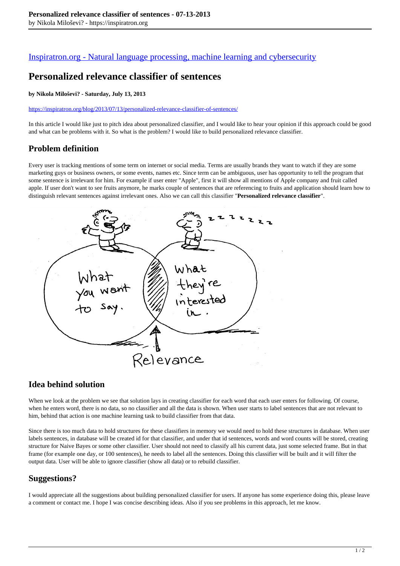## [Inspiratron.org - Natural language processing, machine learning and cybersecurity](https://inspiratron.org)

# **Personalized relevance classifier of sentences**

#### **by Nikola Miloševi? - Saturday, July 13, 2013**

https://inspiratron.org/blog/2013/07/13/personalized-relevance-classifier-of-sentences/

In this article I would like just to pitch idea about personalized classifier, and I would like to hear your opinion if this approach could be good and what can be problems with it. So what is the problem? I would like to build personalized relevance classifier.

## **Problem definition**

Every user is tracking mentions of some term on internet or social media. Terms are usually brands they want to watch if they are some marketing guys or business owners, or some events, names etc. Since term can be ambiguous, user has opportunity to tell the program that some sentence is irrelevant for him. For example if user enter "Apple", first it will show all mentions of Apple company and fruit called apple. If user don't want to see fruits anymore, he marks couple of sentences that are referencing to fruits and application should learn how to distinguish relevant sentences against irrelevant ones. Also we can call this classifier "**Personalized relevance classifier**".



## **Idea behind solution**

When we look at the problem we see that solution lays in creating classifier for each word that each user enters for following. Of course, when he enters word, there is no data, so no classifier and all the data is shown. When user starts to label sentences that are not relevant to him, behind that action is one machine learning task to build classifier from that data.

Since there is too much data to hold structures for these classifiers in memory we would need to hold these structures in database. When user labels sentences, in database will be created id for that classifier, and under that id sentences, words and word counts will be stored, creating structure for Naive Bayes or some other classifier. User should not need to classify all his current data, just some selected frame. But in that frame (for example one day, or 100 sentences), he needs to label all the sentences. Doing this classifier will be built and it will filter the output data. User will be able to ignore classifier (show all data) or to rebuild classifier.

## **Suggestions?**

I would appreciate all the suggestions about building personalized classifier for users. If anyone has some experience doing this, please leave a comment or contact me. I hope I was concise describing ideas. Also if you see problems in this approach, let me know.